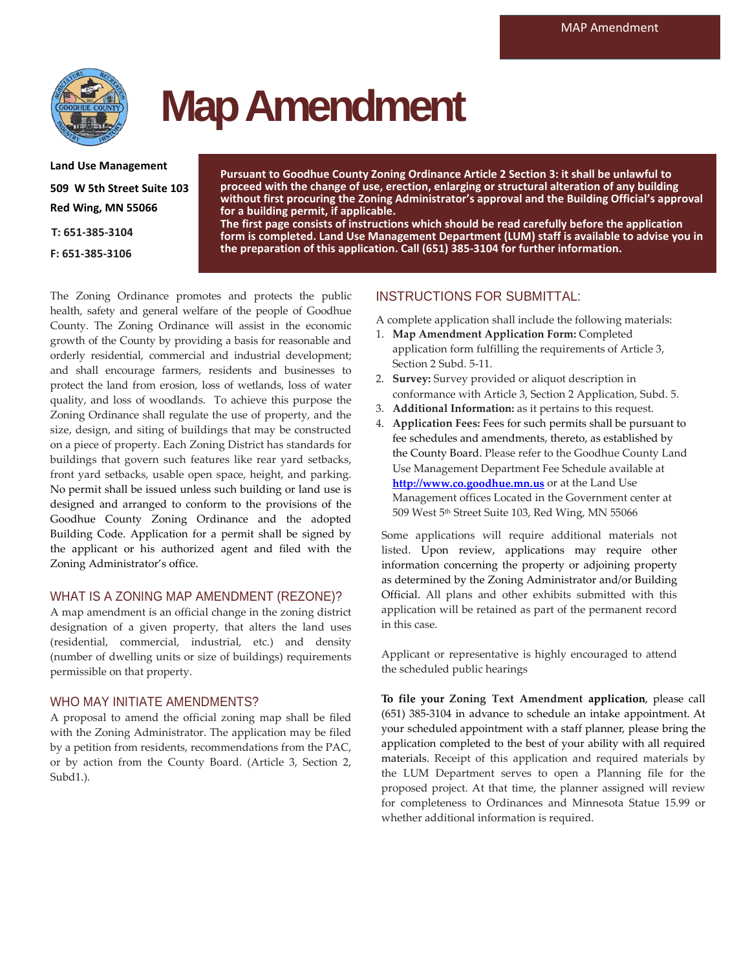

# **MapAmendment**

**Land Use Management 509 W 5th Street Suite 103 Red Wing, MN 55066**

**T: 651-385-3104**

**F: 651-385-3106**

**Pursuant to Goodhue County Zoning Ordinance Article 2 Section 3: it shall be unlawful to proceed with the change of use, erection, enlarging or structural alteration of any building without first procuring the Zoning Administrator's approval and the Building Official's approval for a building permit, if applicable.**

**The first page consists of instructions which should be read carefully before the application form is completed. Land Use Management Department (LUM) staff is available to advise you in the preparation of this application. Call (651) 385-3104 for further information.**

The Zoning Ordinance promotes and protects the public health, safety and general welfare of the people of Goodhue County. The Zoning Ordinance will assist in the economic growth of the County by providing a basis for reasonable and orderly residential, commercial and industrial development; and shall encourage farmers, residents and businesses to protect the land from erosion, loss of wetlands, loss of water quality, and loss of woodlands. To achieve this purpose the Zoning Ordinance shall regulate the use of property, and the size, design, and siting of buildings that may be constructed on a piece of property. Each Zoning District has standards for buildings that govern such features like rear yard setbacks, front yard setbacks, usable open space, height, and parking. No permit shall be issued unless such building or land use is designed and arranged to conform to the provisions of the Goodhue County Zoning Ordinance and the adopted Building Code. Application for a permit shall be signed by the applicant or his authorized agent and filed with the Zoning Administrator's office.

### WHAT IS A ZONING MAP AMENDMENT (REZONE)?

A map amendment is an official change in the zoning district designation of a given property, that alters the land uses (residential, commercial, industrial, etc.) and density (number of dwelling units or size of buildings) requirements permissible on that property.

### WHO MAY INITIATE AMENDMENTS?

A proposal to amend the official zoning map shall be filed with the Zoning Administrator. The application may be filed by a petition from residents, recommendations from the PAC, or by action from the County Board. (Article 3, Section 2, Subd1.).

# INSTRUCTIONS FOR SUBMITTAL:

A complete application shall include the following materials:

- 1. **Map Amendment Application Form:** Completed application form fulfilling the requirements of Article 3, Section 2 Subd. 5-11.
- 2. **Survey:** Survey provided or aliquot description in conformance with Article 3, Section 2 Application, Subd. 5.
- 3. **Additional Information:** as it pertains to this request.
- 4. **Application Fees:** Fees for such permits shall be pursuant to fee schedules and amendments, thereto, as established by the County Board. Please refer to the Goodhue County Land Use Management Department Fee Schedule available at **[http://www.co.goodhue.mn.us](http://www.co.goodhue.mn.us/)** or at the Land Use Management offices Located in the Government center at 509 West 5th Street Suite 103, Red Wing, MN 55066

Some applications will require additional materials not listed. Upon review, applications may require other information concerning the property or adjoining property as determined by the Zoning Administrator and/or Building Official. All plans and other exhibits submitted with this application will be retained as part of the permanent record in this case.

Applicant or representative is highly encouraged to attend the scheduled public hearings

**To file your Zoning Text Amendment application**, please call (651) 385-3104 in advance to schedule an intake appointment. At your scheduled appointment with a staff planner, please bring the application completed to the best of your ability with all required materials. Receipt of this application and required materials by the LUM Department serves to open a Planning file for the proposed project. At that time, the planner assigned will review for completeness to Ordinances and Minnesota Statue 15.99 or whether additional information is required.